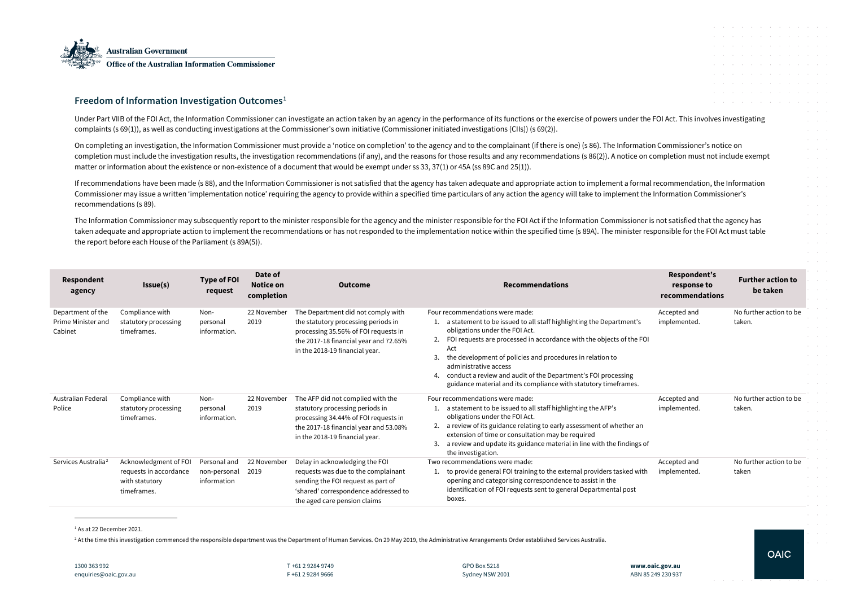

# **Freedom of Information Investigation Outcomes[1](#page-0-0)**

Under Part VIIB of the FOI Act, the Information Commissioner can investigate an action taken by an agency in the performance of its functions or the exercise of powers under complaints (s 69(1)), as well as conducting investigations at the Commissioner's own initiative (Commissioner initiated investigations (CIIs)) (s 69(2)).

On completing an investigation, the Information Commissioner must provide a 'notice on completion' to the agency and to the complainant (if there is one) (s 86). The Information Commissioner must provide a 'notice on compl completion must include the investigation results, the investigation recommendations (if any), and the reasons for those results and any recommendations (s 86(2)). A notice on matter or information about the existence or non-existence of a document that would be exempt under ss 33, 37(1) or 45A (ss 89C and 25(1)).

If recommendations have been made (s 88), and the Information Commissioner is not satisfied that the agency has taken adequate and appropriate action to implement a form Commissioner may issue a written 'implementation notice' requiring the agency to provide within a specified time particulars of any action the agency will take to implement recommendations (s 89).

The Information Commissioner may subsequently report to the minister responsible for the agency and the minister responsible for the FOI Act if the Information Commission taken adequate and appropriate action to implement the recommendations or has not responded to the implementation notice within the specified time (s 89A). The minister the report before each House of the Parliament (s 89A(5)).

| <b>Respondent</b><br>agency                        | Issue(s)                                                                         | <b>Type of FOI</b><br>request               | Date of<br><b>Notice on</b><br>completion | <b>Outcome</b>                                                                                                                                                                               | <b>Recommendations</b>                                                                                                                                                                                                                                                                                                                                                                                                                                        |
|----------------------------------------------------|----------------------------------------------------------------------------------|---------------------------------------------|-------------------------------------------|----------------------------------------------------------------------------------------------------------------------------------------------------------------------------------------------|---------------------------------------------------------------------------------------------------------------------------------------------------------------------------------------------------------------------------------------------------------------------------------------------------------------------------------------------------------------------------------------------------------------------------------------------------------------|
| Department of the<br>Prime Minister and<br>Cabinet | Compliance with<br>statutory processing<br>timeframes.                           | Non-<br>personal<br>information.            | 22 November<br>2019                       | The Department did not comply with<br>the statutory processing periods in<br>processing 35.56% of FOI requests in<br>the 2017-18 financial year and 72.65%<br>in the 2018-19 financial year. | Four recommendations were made:<br>a statement to be issued to all staff highlighting the Department's<br>obligations under the FOI Act.<br>FOI requests are processed in accordance with the objects of the FOI<br>Act<br>the development of policies and procedures in relation to<br>3.<br>administrative access<br>conduct a review and audit of the Department's FOI processing<br>4.<br>guidance material and its compliance with statutory timeframes. |
| Australian Federal<br>Police                       | Compliance with<br>statutory processing<br>timeframes.                           | Non-<br>personal<br>information.            | 22 November<br>2019                       | The AFP did not complied with the<br>statutory processing periods in<br>processing 34.44% of FOI requests in<br>the 2017-18 financial year and 53.08%<br>in the 2018-19 financial year.      | Four recommendations were made:<br>a statement to be issued to all staff highlighting the AFP's<br>obligations under the FOI Act.<br>a review of its guidance relating to early assessment of whether an<br>2.<br>extension of time or consultation may be required<br>a review and update its guidance material in line with the findings of<br>3.<br>the investigation.                                                                                     |
| Services Australia <sup>2</sup>                    | Acknowledgment of FOI<br>requests in accordance<br>with statutory<br>timeframes. | Personal and<br>non-personal<br>information | 22 November<br>2019                       | Delay in acknowledging the FOI<br>requests was due to the complainant<br>sending the FOI request as part of<br>'shared' correspondence addressed to<br>the aged care pension claims          | Two recommendations were made:<br>to provide general FOI training to the external providers tasked with<br>opening and categorising correspondence to assist in the<br>identification of FOI requests sent to general Departmental post<br>boxes.                                                                                                                                                                                                             |

<sup>1</sup> As at 22 December 2021.

<sup>2</sup> At the time this investigation commenced the responsible department was the Department of Human Services. On 29 May 2019, the Administrative Arrangements Order established Services Australia.

<span id="page-0-1"></span><span id="page-0-0"></span>

|      |                                          |  |                 |        |                               |           |            |                                     |        | and a series of the control of the control of the control of the control of |            |                                                                       |                  |
|------|------------------------------------------|--|-----------------|--------|-------------------------------|-----------|------------|-------------------------------------|--------|-----------------------------------------------------------------------------|------------|-----------------------------------------------------------------------|------------------|
|      |                                          |  |                 |        |                               |           |            |                                     |        |                                                                             |            | $\alpha$ , $\beta$ , $\alpha$                                         |                  |
|      |                                          |  |                 |        |                               |           |            |                                     |        | $\sim$                                                                      |            | $\sim 10^{-10}$ k<br>$\sim 10^{-1}$ $\rm{m}$                          |                  |
|      |                                          |  |                 |        | the control of the control of |           | $\sim$     |                                     |        | and the contract of the                                                     |            |                                                                       |                  |
|      |                                          |  | $\sim 10^{-11}$ | $\sim$ | $\sim$                        | $\sim$    | $\sim$     |                                     | $\sim$ | $\sim$                                                                      |            | $\Delta\phi$ and $\Delta\phi$ and $\Delta\phi$                        |                  |
|      |                                          |  |                 |        | and the control of the con-   | $\bar{ }$ | $\sim 100$ |                                     |        |                                                                             |            | $\alpha$ , $\beta$ , $\alpha$<br>$\sim 10^{-10}$ km $^{-1}$           |                  |
|      |                                          |  |                 |        |                               |           |            | the contract of the contract of the |        |                                                                             |            | $\bar{z}$                                                             | $\sim$           |
|      |                                          |  |                 |        |                               |           |            |                                     |        |                                                                             |            |                                                                       | $\bar{z}$        |
|      | the FOI Act. This involves investigating |  |                 |        |                               |           |            |                                     |        |                                                                             |            |                                                                       | $\sim$           |
|      |                                          |  |                 |        |                               |           |            |                                     |        |                                                                             |            | $\alpha$ , $\beta$ , $\alpha$                                         |                  |
|      | ation Commissioner's notice on           |  |                 |        |                               |           |            |                                     |        |                                                                             |            | $\alpha$ and $\alpha$                                                 |                  |
|      | on completion must not include exempt    |  |                 |        |                               |           |            |                                     |        |                                                                             |            | $\alpha$ and $\alpha$                                                 |                  |
|      |                                          |  |                 |        |                               |           |            |                                     |        |                                                                             |            | $\alpha$ and $\alpha$                                                 |                  |
|      | mal recommendation, the Information      |  |                 |        |                               |           |            |                                     |        |                                                                             |            | $\epsilon$ , $\epsilon$ , $\epsilon$<br>$\alpha$ , $\beta$ , $\alpha$ |                  |
|      | the Information Commissioner's           |  |                 |        |                               |           |            |                                     |        |                                                                             |            | $\alpha$ and $\alpha$                                                 |                  |
|      |                                          |  |                 |        |                               |           |            |                                     |        |                                                                             |            |                                                                       | $\sim$           |
|      | er is not satisfied that the agency has  |  |                 |        |                               |           |            |                                     |        |                                                                             |            |                                                                       | $\sim$<br>$\sim$ |
|      | r responsible for the FOI Act must table |  |                 |        |                               |           |            |                                     |        |                                                                             |            | $\epsilon = 1/2$                                                      |                  |
|      |                                          |  |                 |        |                               |           |            |                                     |        |                                                                             |            | $\alpha$ and $\alpha$                                                 |                  |
|      |                                          |  |                 |        |                               |           |            |                                     |        |                                                                             |            | $\sim 10^{-1}$ m $^{-1}$                                              |                  |
|      |                                          |  |                 |        |                               |           |            |                                     |        |                                                                             |            |                                                                       | $\sim$           |
|      | <b>Respondent's</b>                      |  |                 |        |                               |           |            | <b>Further action to</b>            |        |                                                                             | $\epsilon$ |                                                                       |                  |
|      | response to<br>recommendations           |  |                 |        |                               |           | be taken   |                                     |        |                                                                             |            |                                                                       |                  |
|      |                                          |  |                 |        |                               |           |            |                                     |        |                                                                             |            |                                                                       |                  |
|      | Accepted and                             |  |                 |        |                               |           |            | No further action to be             |        |                                                                             |            |                                                                       |                  |
|      | implemented.                             |  |                 | taken. |                               |           |            |                                     |        |                                                                             |            |                                                                       |                  |
| FOI  |                                          |  |                 |        |                               |           |            |                                     |        |                                                                             |            | and a state                                                           |                  |
|      |                                          |  |                 |        |                               |           |            |                                     |        |                                                                             |            |                                                                       |                  |
|      |                                          |  |                 |        |                               |           |            |                                     |        |                                                                             |            |                                                                       |                  |
|      |                                          |  |                 |        |                               |           |            |                                     |        |                                                                             |            |                                                                       |                  |
|      |                                          |  |                 |        |                               |           |            |                                     |        |                                                                             |            |                                                                       |                  |
|      | Accepted and                             |  |                 |        |                               |           |            | No further action to be             |        |                                                                             |            |                                                                       |                  |
|      | implemented.                             |  |                 | taken. |                               |           |            |                                     |        |                                                                             |            |                                                                       |                  |
| n    |                                          |  |                 |        |                               |           |            |                                     |        |                                                                             |            |                                                                       |                  |
|      |                                          |  |                 |        |                               |           |            |                                     |        |                                                                             |            |                                                                       |                  |
| s of |                                          |  |                 |        |                               |           |            |                                     |        |                                                                             |            |                                                                       |                  |
|      | Accepted and                             |  |                 |        |                               |           |            | No further action to be             |        |                                                                             |            |                                                                       |                  |
| ith  | implemented.                             |  |                 | taken  |                               |           |            |                                     |        |                                                                             |            |                                                                       |                  |
|      |                                          |  |                 |        |                               |           |            |                                     |        |                                                                             |            |                                                                       |                  |
|      |                                          |  |                 |        |                               |           |            |                                     |        |                                                                             |            |                                                                       |                  |
|      |                                          |  |                 |        |                               |           |            |                                     |        |                                                                             |            |                                                                       |                  |
|      |                                          |  |                 |        |                               |           |            |                                     |        |                                                                             |            |                                                                       |                  |
|      |                                          |  |                 |        |                               |           |            |                                     |        |                                                                             |            |                                                                       |                  |
|      |                                          |  |                 |        |                               |           |            |                                     |        |                                                                             |            |                                                                       |                  |
|      |                                          |  |                 |        |                               |           |            | <b>OAIC</b>                         |        |                                                                             |            |                                                                       |                  |
|      | w.oaic.gov.au                            |  |                 |        |                               |           |            |                                     |        |                                                                             |            |                                                                       |                  |
|      | 85 249 230 937                           |  |                 |        |                               |           |            |                                     |        |                                                                             |            |                                                                       |                  |
|      |                                          |  |                 |        |                               |           |            |                                     |        |                                                                             |            |                                                                       |                  |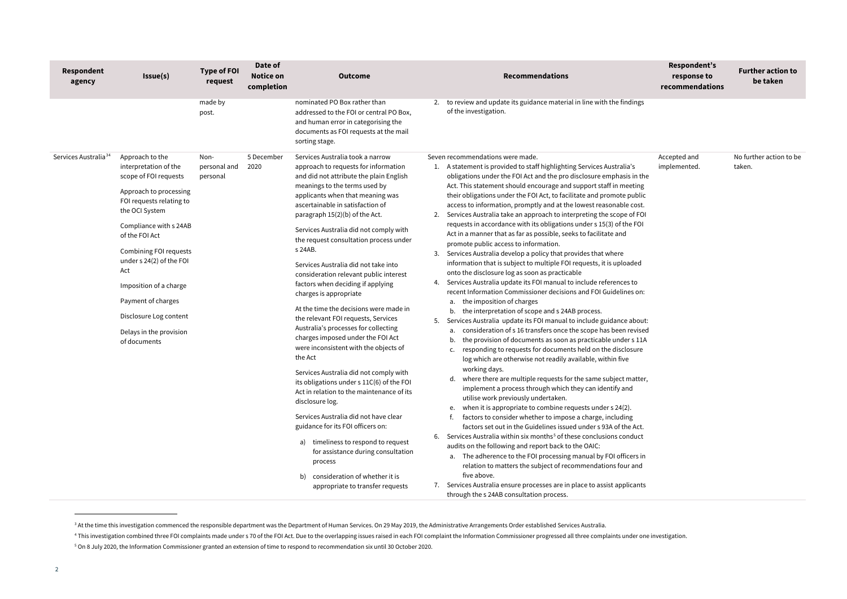<span id="page-1-2"></span><span id="page-1-1"></span><span id="page-1-0"></span>

| Respondent<br>agency             | Issue(s)                                                                                                                                                                                                                                                                                                                                                                | <b>Type of FOI</b><br>request    | Date of<br><b>Notice on</b><br>completion | <b>Outcome</b>                                                                                                                                                                                                                                                                                                                                                                                                                                                                                                                                                                                                                                                                                                                                                                                                                                                                                                                                                                                                                                                                                                                         |                | <b>Recommendations</b>                                                                                                                                                                                                                                                                                                                                                                                                                                                                                                                                                                                                                                                                                                                                                                                                                                                                                                                                                                                                                                                                                                                                                                                                                                                                                                                                                                                                                                                                                                                                                                                                                                                                                                                                                                                                                                                                                                                                                                                                                                                                                                                                                                                                                                                      | Respondent's<br>response to<br>recommendations | <b>Further action to</b><br>be taken |
|----------------------------------|-------------------------------------------------------------------------------------------------------------------------------------------------------------------------------------------------------------------------------------------------------------------------------------------------------------------------------------------------------------------------|----------------------------------|-------------------------------------------|----------------------------------------------------------------------------------------------------------------------------------------------------------------------------------------------------------------------------------------------------------------------------------------------------------------------------------------------------------------------------------------------------------------------------------------------------------------------------------------------------------------------------------------------------------------------------------------------------------------------------------------------------------------------------------------------------------------------------------------------------------------------------------------------------------------------------------------------------------------------------------------------------------------------------------------------------------------------------------------------------------------------------------------------------------------------------------------------------------------------------------------|----------------|-----------------------------------------------------------------------------------------------------------------------------------------------------------------------------------------------------------------------------------------------------------------------------------------------------------------------------------------------------------------------------------------------------------------------------------------------------------------------------------------------------------------------------------------------------------------------------------------------------------------------------------------------------------------------------------------------------------------------------------------------------------------------------------------------------------------------------------------------------------------------------------------------------------------------------------------------------------------------------------------------------------------------------------------------------------------------------------------------------------------------------------------------------------------------------------------------------------------------------------------------------------------------------------------------------------------------------------------------------------------------------------------------------------------------------------------------------------------------------------------------------------------------------------------------------------------------------------------------------------------------------------------------------------------------------------------------------------------------------------------------------------------------------------------------------------------------------------------------------------------------------------------------------------------------------------------------------------------------------------------------------------------------------------------------------------------------------------------------------------------------------------------------------------------------------------------------------------------------------------------------------------------------------|------------------------------------------------|--------------------------------------|
|                                  |                                                                                                                                                                                                                                                                                                                                                                         | made by<br>post.                 |                                           | nominated PO Box rather than<br>addressed to the FOI or central PO Box,<br>and human error in categorising the<br>documents as FOI requests at the mail<br>sorting stage.                                                                                                                                                                                                                                                                                                                                                                                                                                                                                                                                                                                                                                                                                                                                                                                                                                                                                                                                                              |                | 2. to review and update its guidance material in line with the findings<br>of the investigation.                                                                                                                                                                                                                                                                                                                                                                                                                                                                                                                                                                                                                                                                                                                                                                                                                                                                                                                                                                                                                                                                                                                                                                                                                                                                                                                                                                                                                                                                                                                                                                                                                                                                                                                                                                                                                                                                                                                                                                                                                                                                                                                                                                            |                                                |                                      |
| Services Australia <sup>34</sup> | Approach to the<br>interpretation of the<br>scope of FOI requests<br>Approach to processing<br>FOI requests relating to<br>the OCI System<br>Compliance with s 24AB<br>of the FOI Act<br>Combining FOI requests<br>under s 24(2) of the FOI<br>Act<br>Imposition of a charge<br>Payment of charges<br>Disclosure Log content<br>Delays in the provision<br>of documents | Non-<br>personal and<br>personal | 5 December<br>2020                        | Services Australia took a narrow<br>approach to requests for information<br>and did not attribute the plain English<br>meanings to the terms used by<br>applicants when that meaning was<br>ascertainable in satisfaction of<br>paragraph 15(2)(b) of the Act.<br>Services Australia did not comply with<br>the request consultation process under<br>s 24AB.<br>Services Australia did not take into<br>consideration relevant public interest<br>factors when deciding if applying<br>charges is appropriate<br>At the time the decisions were made in<br>the relevant FOI requests, Services<br>Australia's processes for collecting<br>charges imposed under the FOI Act<br>were inconsistent with the objects of<br>the Act<br>Services Australia did not comply with<br>its obligations under s 11C(6) of the FOI<br>Act in relation to the maintenance of its<br>disclosure log.<br>Services Australia did not have clear<br>guidance for its FOI officers on:<br>a) timeliness to respond to request<br>for assistance during consultation<br>process<br>b) consideration of whether it is<br>appropriate to transfer requests | 3.<br>5.<br>6. | Seven recommendations were made.<br>1. A statement is provided to staff highlighting Services Australia's<br>obligations under the FOI Act and the pro disclosure emphasis in the<br>Act. This statement should encourage and support staff in meeting<br>their obligations under the FOI Act, to facilitate and promote public<br>access to information, promptly and at the lowest reasonable cost.<br>2. Services Australia take an approach to interpreting the scope of FOI<br>requests in accordance with its obligations under s 15(3) of the FOI<br>Act in a manner that as far as possible, seeks to facilitate and<br>promote public access to information.<br>Services Australia develop a policy that provides that where<br>information that is subject to multiple FOI requests, it is uploaded<br>onto the disclosure log as soon as practicable<br>4. Services Australia update its FOI manual to include references to<br>recent Information Commissioner decisions and FOI Guidelines on:<br>the imposition of charges<br>a.<br>the interpretation of scope and s 24AB process.<br>b.<br>Services Australia update its FOI manual to include guidance about:<br>a. consideration of s 16 transfers once the scope has been revised<br>the provision of documents as soon as practicable under s 11A<br>b.<br>responding to requests for documents held on the disclosure<br>c.<br>log which are otherwise not readily available, within five<br>working days.<br>d. where there are multiple requests for the same subject matter,<br>implement a process through which they can identify and<br>utilise work previously undertaken.<br>e. when it is appropriate to combine requests under s 24(2).<br>factors to consider whether to impose a charge, including<br>factors set out in the Guidelines issued under s 93A of the Act.<br>Services Australia within six months <sup>5</sup> of these conclusions conduct<br>audits on the following and report back to the OAIC:<br>a. The adherence to the FOI processing manual by FOI officers in<br>relation to matters the subject of recommendations four and<br>five above.<br>7. Services Australia ensure processes are in place to assist applicants<br>through the s 24AB consultation process. | Accepted and<br>implemented.                   | No further action to be<br>taken.    |

<sup>&</sup>lt;sup>3</sup> At the time this investigation commenced the responsible department was the Department of Human Services. On 29 May 2019, the Administrative Arrangements Order established Services Australia.

<sup>&</sup>lt;sup>4</sup> This investigation combined three FOI complaints made under s 70 of the FOI Act. Due to the overlapping issues raised in each FOI complaint the Information Commissioner progressed all three complaints under one investi <sup>5</sup> On 8 July 2020, the Information Commissioner granted an extension of time to respond to recommendation six until 30 October 2020.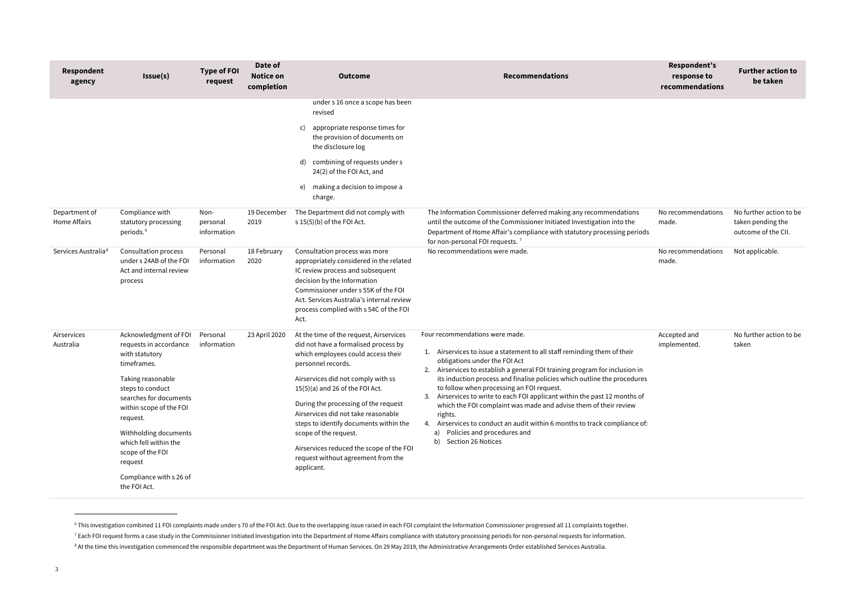<span id="page-2-2"></span><span id="page-2-1"></span><span id="page-2-0"></span>

| <b>Respondent</b><br>agency     | <b>Issue(s)</b>                                                                                                                                                                                                                                                                                                        | <b>Type of FOI</b><br>request   | Date of<br><b>Notice on</b><br>completion | <b>Outcome</b>                                                                                                                                                                                                                                                                                                                                                                                                                                                           | <b>Recommendations</b>                                                                                                                                                                                                                                                                                                                                                                                                                                                                                                                                                                                                                               | Respondent's<br>response to<br>recommendations | <b>Further action to</b><br>be taken                                |
|---------------------------------|------------------------------------------------------------------------------------------------------------------------------------------------------------------------------------------------------------------------------------------------------------------------------------------------------------------------|---------------------------------|-------------------------------------------|--------------------------------------------------------------------------------------------------------------------------------------------------------------------------------------------------------------------------------------------------------------------------------------------------------------------------------------------------------------------------------------------------------------------------------------------------------------------------|------------------------------------------------------------------------------------------------------------------------------------------------------------------------------------------------------------------------------------------------------------------------------------------------------------------------------------------------------------------------------------------------------------------------------------------------------------------------------------------------------------------------------------------------------------------------------------------------------------------------------------------------------|------------------------------------------------|---------------------------------------------------------------------|
|                                 |                                                                                                                                                                                                                                                                                                                        |                                 |                                           | under s 16 once a scope has been<br>revised<br>appropriate response times for<br>C)<br>the provision of documents on<br>the disclosure log<br>combining of requests under s<br>24(2) of the FOI Act, and<br>making a decision to impose a<br>e)<br>charge.                                                                                                                                                                                                               |                                                                                                                                                                                                                                                                                                                                                                                                                                                                                                                                                                                                                                                      |                                                |                                                                     |
| Department of<br>Home Affairs   | Compliance with<br>statutory processing<br>periods. <sup>6</sup>                                                                                                                                                                                                                                                       | Non-<br>personal<br>information | 19 December<br>2019                       | The Department did not comply with<br>s 15(5)(b) of the FOI Act.                                                                                                                                                                                                                                                                                                                                                                                                         | The Information Commissioner deferred making any recommendations<br>until the outcome of the Commissioner Initiated Investigation into the<br>Department of Home Affair's compliance with statutory processing periods<br>for non-personal FOI requests. <sup>7</sup>                                                                                                                                                                                                                                                                                                                                                                                | No recommendations<br>made.                    | No further action to be<br>taken pending the<br>outcome of the CII. |
| Services Australia <sup>8</sup> | <b>Consultation process</b><br>under s 24AB of the FOI<br>Act and internal review<br>process                                                                                                                                                                                                                           | Personal<br>information         | 18 February<br>2020                       | Consultation process was more<br>appropriately considered in the related<br>IC review process and subsequent<br>decision by the Information<br>Commissioner under s 55K of the FOI<br>Act. Services Australia's internal review<br>process complied with s 54C of the FOI<br>Act.                                                                                                                                                                                        | No recommendations were made.                                                                                                                                                                                                                                                                                                                                                                                                                                                                                                                                                                                                                        | No recommendations<br>made.                    | Not applicable.                                                     |
| Airservices<br>Australia        | Acknowledgment of FOI<br>requests in accordance<br>with statutory<br>timeframes.<br>Taking reasonable<br>steps to conduct<br>searches for documents<br>within scope of the FOI<br>request.<br>Withholding documents<br>which fell within the<br>scope of the FOI<br>request<br>Compliance with s 26 of<br>the FOI Act. | Personal<br>information         | 23 April 2020                             | At the time of the request, Airservices<br>did not have a formalised process by<br>which employees could access their<br>personnel records.<br>Airservices did not comply with ss<br>$15(5)(a)$ and 26 of the FOI Act.<br>During the processing of the request<br>Airservices did not take reasonable<br>steps to identify documents within the<br>scope of the request.<br>Airservices reduced the scope of the FOI<br>request without agreement from the<br>applicant. | Four recommendations were made.<br>Airservices to issue a statement to all staff reminding them of their<br>obligations under the FOI Act<br>Airservices to establish a general FOI training program for inclusion in<br>its induction process and finalise policies which outline the procedures<br>to follow when processing an FOI request.<br>3. Airservices to write to each FOI applicant within the past 12 months of<br>which the FOI complaint was made and advise them of their review<br>rights.<br>4. Airservices to conduct an audit within 6 months to track compliance of:<br>a) Policies and procedures and<br>b) Section 26 Notices | Accepted and<br>implemented.                   | No further action to be<br>taken                                    |

<sup>&</sup>lt;sup>6</sup> This investigation combined 11 FOI complaints made under s 70 of the FOI Act. Due to the overlapping issue raised in each FOI complaint the Information Commissioner progressed all 11 complaints together. <sup>7</sup> Each FOI request forms a case study in the Commissioner Initiated Investigation into the Department of Home Affairs compliance with statutory processing periods for non-personal requests for information.

<sup>&</sup>lt;sup>8</sup> At the time this investigation commenced the responsible department was the Department of Human Services. On 29 May 2019, the Administrative Arrangements Order established Services Australia.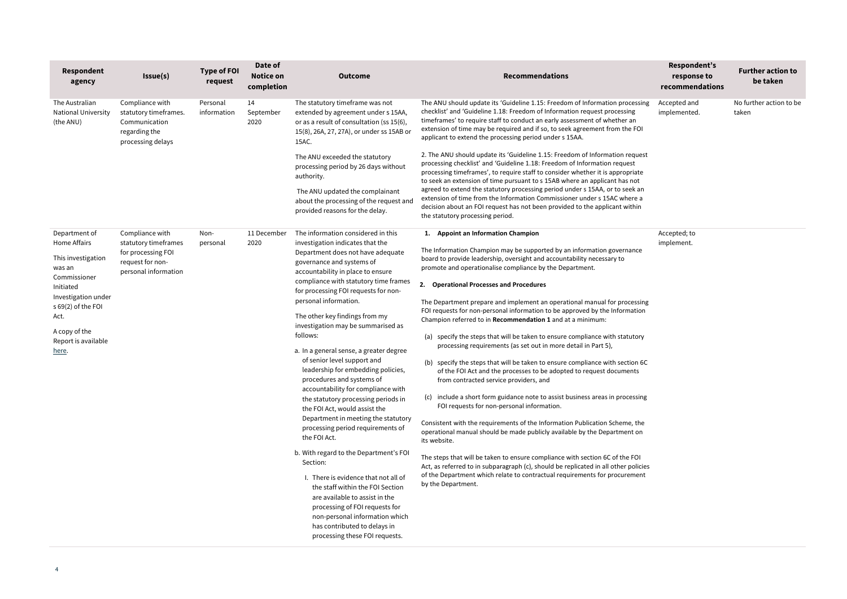4

|                                                                                                                                                                                                                                                                                                                       | request                 | <b>Notice on</b><br>completion | <b>Outcome</b>                                                                                                                                                                                                                                                                                                                                                                                                                                                                                                                                                                                                                                                                                                                                                                                                                                                                                                                                                                                                                               | <b>Recommendations</b>                                                                                                                                                                                                                                                                                                                                                                                                                                                                                                                                                                                                                                                                                                                                                                                                                                                                                                                                                                                                                                                                                                                                                                                                                                                                                                                                                                                                                                            | response to<br>recommendations | <b>Further action to</b><br>be taken |
|-----------------------------------------------------------------------------------------------------------------------------------------------------------------------------------------------------------------------------------------------------------------------------------------------------------------------|-------------------------|--------------------------------|----------------------------------------------------------------------------------------------------------------------------------------------------------------------------------------------------------------------------------------------------------------------------------------------------------------------------------------------------------------------------------------------------------------------------------------------------------------------------------------------------------------------------------------------------------------------------------------------------------------------------------------------------------------------------------------------------------------------------------------------------------------------------------------------------------------------------------------------------------------------------------------------------------------------------------------------------------------------------------------------------------------------------------------------|-------------------------------------------------------------------------------------------------------------------------------------------------------------------------------------------------------------------------------------------------------------------------------------------------------------------------------------------------------------------------------------------------------------------------------------------------------------------------------------------------------------------------------------------------------------------------------------------------------------------------------------------------------------------------------------------------------------------------------------------------------------------------------------------------------------------------------------------------------------------------------------------------------------------------------------------------------------------------------------------------------------------------------------------------------------------------------------------------------------------------------------------------------------------------------------------------------------------------------------------------------------------------------------------------------------------------------------------------------------------------------------------------------------------------------------------------------------------|--------------------------------|--------------------------------------|
| The Australian<br>Compliance with<br><b>National University</b><br>statutory timeframes.<br>(the ANU)<br>Communication<br>regarding the<br>processing delays                                                                                                                                                          | Personal<br>information | 14<br>September<br>2020        | The statutory timeframe was not<br>extended by agreement under s 15AA,<br>or as a result of consultation (ss 15(6),<br>15(8), 26A, 27, 27A), or under ss 15AB or<br>15AC.                                                                                                                                                                                                                                                                                                                                                                                                                                                                                                                                                                                                                                                                                                                                                                                                                                                                    | The ANU should update its 'Guideline 1.15: Freedom of Information processing<br>checklist' and 'Guideline 1.18: Freedom of Information request processing<br>timeframes' to require staff to conduct an early assessment of whether an<br>extension of time may be required and if so, to seek agreement from the FOI<br>applicant to extend the processing period under s 15AA.                                                                                                                                                                                                                                                                                                                                                                                                                                                                                                                                                                                                                                                                                                                                                                                                                                                                                                                                                                                                                                                                                  | Accepted and<br>implemented.   | No further action to be<br>taken     |
|                                                                                                                                                                                                                                                                                                                       |                         |                                | The ANU exceeded the statutory<br>processing period by 26 days without<br>authority.                                                                                                                                                                                                                                                                                                                                                                                                                                                                                                                                                                                                                                                                                                                                                                                                                                                                                                                                                         | 2. The ANU should update its 'Guideline 1.15: Freedom of Information request<br>processing checklist' and 'Guideline 1.18: Freedom of Information request<br>processing timeframes', to require staff to consider whether it is appropriate<br>to seek an extension of time pursuant to s 15AB where an applicant has not                                                                                                                                                                                                                                                                                                                                                                                                                                                                                                                                                                                                                                                                                                                                                                                                                                                                                                                                                                                                                                                                                                                                         |                                |                                      |
|                                                                                                                                                                                                                                                                                                                       |                         |                                | The ANU updated the complainant<br>about the processing of the request and<br>provided reasons for the delay.                                                                                                                                                                                                                                                                                                                                                                                                                                                                                                                                                                                                                                                                                                                                                                                                                                                                                                                                | agreed to extend the statutory processing period under s 15AA, or to seek an<br>extension of time from the Information Commissioner under s 15AC where a<br>decision about an FOI request has not been provided to the applicant within<br>the statutory processing period.                                                                                                                                                                                                                                                                                                                                                                                                                                                                                                                                                                                                                                                                                                                                                                                                                                                                                                                                                                                                                                                                                                                                                                                       |                                |                                      |
| Department of<br>Compliance with<br>Home Affairs<br>statutory timeframes<br>for processing FOI<br>This investigation<br>request for non-<br>was an<br>personal information<br>Commissioner<br>Initiated<br>Investigation under<br>s 69(2) of the FOI<br>Act.<br>A copy of the<br>Report is available<br><u>here</u> . | Non-<br>personal        | 11 December<br>2020            | The information considered in this<br>investigation indicates that the<br>Department does not have adequate<br>governance and systems of<br>accountability in place to ensure<br>compliance with statutory time frames<br>for processing FOI requests for non-<br>personal information.<br>The other key findings from my<br>investigation may be summarised as<br>follows:<br>a. In a general sense, a greater degree<br>of senior level support and<br>leadership for embedding policies,<br>procedures and systems of<br>accountability for compliance with<br>the statutory processing periods in<br>the FOI Act, would assist the<br>Department in meeting the statutory<br>processing period requirements of<br>the FOI Act.<br>b. With regard to the Department's FOI<br>Section:<br>I. There is evidence that not all of<br>the staff within the FOI Section<br>are available to assist in the<br>processing of FOI requests for<br>non-personal information which<br>has contributed to delays in<br>processing these FOI requests. | 1. Appoint an Information Champion<br>The Information Champion may be supported by an information governance<br>board to provide leadership, oversight and accountability necessary to<br>promote and operationalise compliance by the Department.<br>2. Operational Processes and Procedures<br>The Department prepare and implement an operational manual for processing<br>FOI requests for non-personal information to be approved by the Information<br>Champion referred to in Recommendation 1 and at a minimum:<br>(a) specify the steps that will be taken to ensure compliance with statutory<br>processing requirements (as set out in more detail in Part 5),<br>(b) specify the steps that will be taken to ensure compliance with section 6C<br>of the FOI Act and the processes to be adopted to request documents<br>from contracted service providers, and<br>(c) include a short form guidance note to assist business areas in processing<br>FOI requests for non-personal information.<br>Consistent with the requirements of the Information Publication Scheme, the<br>operational manual should be made publicly available by the Department on<br>its website.<br>The steps that will be taken to ensure compliance with section 6C of the FOI<br>Act, as referred to in subparagraph (c), should be replicated in all other policies<br>of the Department which relate to contractual requirements for procurement<br>by the Department. | Accepted; to<br>implement.     |                                      |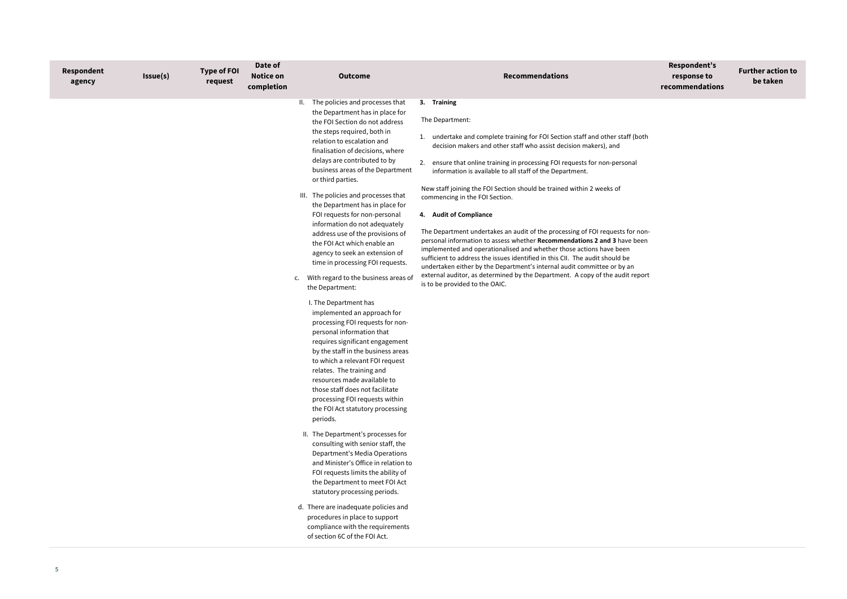## **Respondent's response to recommendations**

## **Further action to be taken**

| Respondent<br>agency | Issue(s) | <b>Type of FOI</b><br>request | Date of<br><b>Notice on</b><br>completion | <b>Outcome</b>                                                                                                                                                                                                                                                                                                                                                                                                                                                                                                                                                                                                                                                                                                                                                                                                                                                                                                                                                                                                                                                                                                                                                                                                                                                                                                                                                                       | <b>Recommendations</b>                                                                                                                                                                                                                                                                                                                                                                                                                                                                                                                                                                                                                                                                                                                                                                                                                                                                                                                                                                |
|----------------------|----------|-------------------------------|-------------------------------------------|--------------------------------------------------------------------------------------------------------------------------------------------------------------------------------------------------------------------------------------------------------------------------------------------------------------------------------------------------------------------------------------------------------------------------------------------------------------------------------------------------------------------------------------------------------------------------------------------------------------------------------------------------------------------------------------------------------------------------------------------------------------------------------------------------------------------------------------------------------------------------------------------------------------------------------------------------------------------------------------------------------------------------------------------------------------------------------------------------------------------------------------------------------------------------------------------------------------------------------------------------------------------------------------------------------------------------------------------------------------------------------------|---------------------------------------------------------------------------------------------------------------------------------------------------------------------------------------------------------------------------------------------------------------------------------------------------------------------------------------------------------------------------------------------------------------------------------------------------------------------------------------------------------------------------------------------------------------------------------------------------------------------------------------------------------------------------------------------------------------------------------------------------------------------------------------------------------------------------------------------------------------------------------------------------------------------------------------------------------------------------------------|
|                      |          |                               |                                           | II. The policies and processes that<br>the Department has in place for<br>the FOI Section do not address<br>the steps required, both in<br>relation to escalation and<br>finalisation of decisions, where<br>delays are contributed to by<br>business areas of the Department<br>or third parties.<br>III. The policies and processes that<br>the Department has in place for<br>FOI requests for non-personal<br>information do not adequately<br>address use of the provisions of<br>the FOI Act which enable an<br>agency to seek an extension of<br>time in processing FOI requests.<br>With regard to the business areas of<br>c.<br>the Department:<br>I. The Department has<br>implemented an approach for<br>processing FOI requests for non-<br>personal information that<br>requires significant engagement<br>by the staff in the business areas<br>to which a relevant FOI request<br>relates. The training and<br>resources made available to<br>those staff does not facilitate<br>processing FOI requests within<br>the FOI Act statutory processing<br>periods.<br>II. The Department's processes for<br>consulting with senior staff, the<br>Department's Media Operations<br>and Minister's Office in relation to<br>FOI requests limits the ability of<br>the Department to meet FOI Act<br>statutory processing periods.<br>d. There are inadequate policies and | 3. Training<br>The Department:<br>1. undertake and complete training for FOI Section staff and other staff (both<br>decision makers and other staff who assist decision makers), and<br>2. ensure that online training in processing FOI requests for non-personal<br>information is available to all staff of the Department.<br>New staff joining the FOI Section should be trained within 2 weeks of<br>commencing in the FOI Section.<br>4. Audit of Compliance<br>The Department undertakes an audit of the processing of FOI requests for non-<br>personal information to assess whether Recommendations 2 and 3 have been<br>implemented and operationalised and whether those actions have been<br>sufficient to address the issues identified in this CII. The audit should be<br>undertaken either by the Department's internal audit committee or by an<br>external auditor, as determined by the Department. A copy of the audit report<br>is to be provided to the OAIC. |
|                      |          |                               |                                           | procedures in place to support<br>compliance with the requirements<br>of section 6C of the FOI Act.                                                                                                                                                                                                                                                                                                                                                                                                                                                                                                                                                                                                                                                                                                                                                                                                                                                                                                                                                                                                                                                                                                                                                                                                                                                                                  |                                                                                                                                                                                                                                                                                                                                                                                                                                                                                                                                                                                                                                                                                                                                                                                                                                                                                                                                                                                       |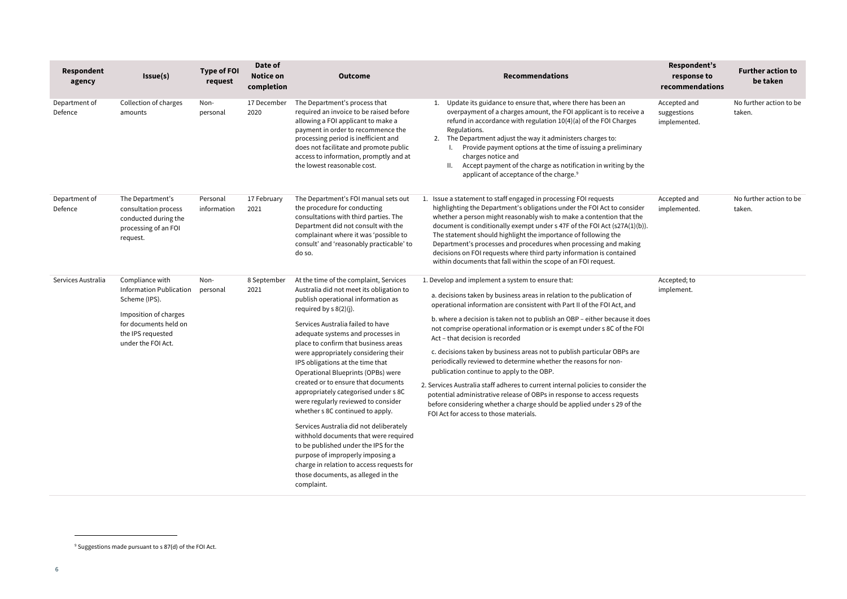<span id="page-5-0"></span>

| Respondent<br>agency     | Issue(s)                                                                                                                                                 | <b>Type of FOI</b><br>request | Date of<br><b>Notice on</b><br>completion | <b>Outcome</b>                                                                                                                                                                                                                                                                                                                                                                                                                                                                                                                                                                                                                                                                                                                                                                                                     | <b>Recommendations</b>                                                                                                                                                                                                                                                                                                                                                                                                                                                                                                                                                                                                                                                                                                                                                                                                                                                             | Respondent's<br>response to<br>recommendations | <b>Further action to</b><br>be taken |
|--------------------------|----------------------------------------------------------------------------------------------------------------------------------------------------------|-------------------------------|-------------------------------------------|--------------------------------------------------------------------------------------------------------------------------------------------------------------------------------------------------------------------------------------------------------------------------------------------------------------------------------------------------------------------------------------------------------------------------------------------------------------------------------------------------------------------------------------------------------------------------------------------------------------------------------------------------------------------------------------------------------------------------------------------------------------------------------------------------------------------|------------------------------------------------------------------------------------------------------------------------------------------------------------------------------------------------------------------------------------------------------------------------------------------------------------------------------------------------------------------------------------------------------------------------------------------------------------------------------------------------------------------------------------------------------------------------------------------------------------------------------------------------------------------------------------------------------------------------------------------------------------------------------------------------------------------------------------------------------------------------------------|------------------------------------------------|--------------------------------------|
| Department of<br>Defence | Collection of charges<br>amounts                                                                                                                         | Non-<br>personal              | 17 December<br>2020                       | The Department's process that<br>required an invoice to be raised before<br>allowing a FOI applicant to make a<br>payment in order to recommence the<br>processing period is inefficient and<br>does not facilitate and promote public<br>access to information, promptly and at<br>the lowest reasonable cost.                                                                                                                                                                                                                                                                                                                                                                                                                                                                                                    | Update its guidance to ensure that, where there has been an<br>1.<br>overpayment of a charges amount, the FOI applicant is to receive a<br>refund in accordance with regulation 10(4)(a) of the FOI Charges<br>Regulations.<br>2. The Department adjust the way it administers charges to:<br>Provide payment options at the time of issuing a preliminary<br>charges notice and<br>Accept payment of the charge as notification in writing by the<br>applicant of acceptance of the charge. <sup>9</sup>                                                                                                                                                                                                                                                                                                                                                                          | Accepted and<br>suggestions<br>implemented.    | No further action to be<br>taken.    |
| Department of<br>Defence | The Department's<br>consultation process<br>conducted during the<br>processing of an FOI<br>request.                                                     | Personal<br>information       | 17 February<br>2021                       | The Department's FOI manual sets out<br>the procedure for conducting<br>consultations with third parties. The<br>Department did not consult with the<br>complainant where it was 'possible to<br>consult' and 'reasonably practicable' to<br>do so.                                                                                                                                                                                                                                                                                                                                                                                                                                                                                                                                                                | 1. Issue a statement to staff engaged in processing FOI requests<br>highlighting the Department's obligations under the FOI Act to consider<br>whether a person might reasonably wish to make a contention that the<br>document is conditionally exempt under s 47F of the FOI Act (s27A(1)(b)).<br>The statement should highlight the importance of following the<br>Department's processes and procedures when processing and making<br>decisions on FOI requests where third party information is contained<br>within documents that fall within the scope of an FOI request.                                                                                                                                                                                                                                                                                                   | Accepted and<br>implemented.                   | No further action to be<br>taken.    |
| Services Australia       | Compliance with<br>Information Publication<br>Scheme (IPS).<br>Imposition of charges<br>for documents held on<br>the IPS requested<br>under the FOI Act. | Non-<br>personal              | 8 September<br>2021                       | At the time of the complaint, Services<br>Australia did not meet its obligation to<br>publish operational information as<br>required by s 8(2)(j).<br>Services Australia failed to have<br>adequate systems and processes in<br>place to confirm that business areas<br>were appropriately considering their<br>IPS obligations at the time that<br>Operational Blueprints (OPBs) were<br>created or to ensure that documents<br>appropriately categorised under s 8C<br>were regularly reviewed to consider<br>whether s 8C continued to apply.<br>Services Australia did not deliberately<br>withhold documents that were required<br>to be published under the IPS for the<br>purpose of improperly imposing a<br>charge in relation to access requests for<br>those documents, as alleged in the<br>complaint. | 1. Develop and implement a system to ensure that:<br>a. decisions taken by business areas in relation to the publication of<br>operational information are consistent with Part II of the FOI Act, and<br>b. where a decision is taken not to publish an OBP - either because it does<br>not comprise operational information or is exempt under s 8C of the FOI<br>Act - that decision is recorded<br>c. decisions taken by business areas not to publish particular OBPs are<br>periodically reviewed to determine whether the reasons for non-<br>publication continue to apply to the OBP.<br>2. Services Australia staff adheres to current internal policies to consider the<br>potential administrative release of OBPs in response to access requests<br>before considering whether a charge should be applied under s 29 of the<br>FOI Act for access to those materials. | Accepted; to<br>implement.                     |                                      |

 $9$  Suggestions made pursuant to s 87(d) of the FOI Act.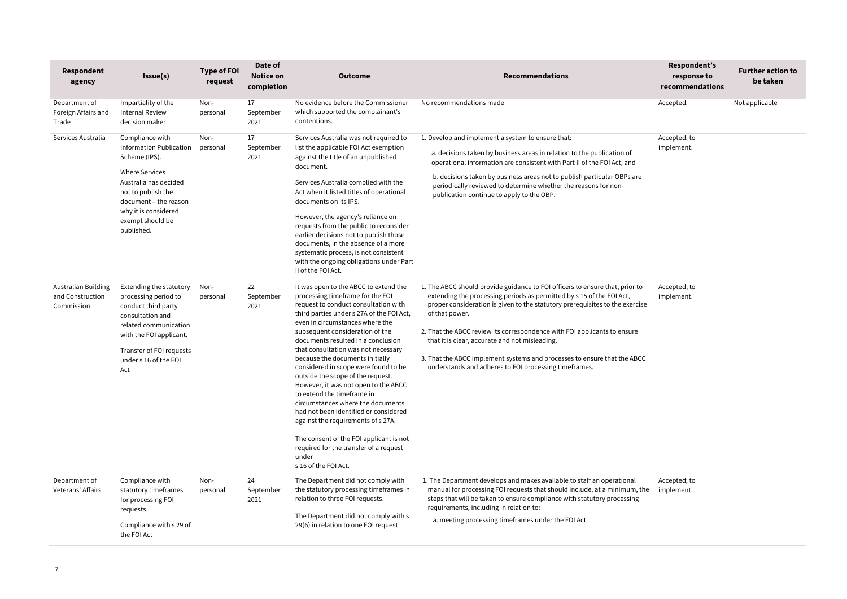| Respondent<br>agency                                         | Issue(s)                                                                                                                                                                                                                      | <b>Type of FOI</b><br>request | Date of<br><b>Notice on</b><br>completion | <b>Outcome</b>                                                                                                                                                                                                                                                                                                                                                                                                                                                                                                                                                                                                                                                                                                                                    | <b>Recommendations</b>                                                                                                                                                                                                                                                                                                                                                                                                                                                                                                     | Respondent's<br>response to<br>recommendations | <b>Further action to</b><br>be taken |
|--------------------------------------------------------------|-------------------------------------------------------------------------------------------------------------------------------------------------------------------------------------------------------------------------------|-------------------------------|-------------------------------------------|---------------------------------------------------------------------------------------------------------------------------------------------------------------------------------------------------------------------------------------------------------------------------------------------------------------------------------------------------------------------------------------------------------------------------------------------------------------------------------------------------------------------------------------------------------------------------------------------------------------------------------------------------------------------------------------------------------------------------------------------------|----------------------------------------------------------------------------------------------------------------------------------------------------------------------------------------------------------------------------------------------------------------------------------------------------------------------------------------------------------------------------------------------------------------------------------------------------------------------------------------------------------------------------|------------------------------------------------|--------------------------------------|
| Department of<br>Foreign Affairs and<br>Trade                | Impartiality of the<br><b>Internal Review</b><br>decision maker                                                                                                                                                               | Non-<br>personal              | 17<br>September<br>2021                   | No evidence before the Commissioner<br>which supported the complainant's<br>contentions.                                                                                                                                                                                                                                                                                                                                                                                                                                                                                                                                                                                                                                                          | No recommendations made                                                                                                                                                                                                                                                                                                                                                                                                                                                                                                    | Accepted.                                      | Not applicable                       |
| Services Australia                                           | Compliance with<br><b>Information Publication</b><br>Scheme (IPS).<br><b>Where Services</b><br>Australia has decided<br>not to publish the<br>document - the reason<br>why it is considered<br>exempt should be<br>published. | Non-<br>personal              | 17<br>September<br>2021                   | Services Australia was not required to<br>list the applicable FOI Act exemption<br>against the title of an unpublished<br>document.<br>Services Australia complied with the<br>Act when it listed titles of operational<br>documents on its IPS.<br>However, the agency's reliance on<br>requests from the public to reconsider<br>earlier decisions not to publish those<br>documents, in the absence of a more<br>systematic process, is not consistent<br>with the ongoing obligations under Part<br>II of the FOI Act.                                                                                                                                                                                                                        | 1. Develop and implement a system to ensure that:<br>a. decisions taken by business areas in relation to the publication of<br>operational information are consistent with Part II of the FOI Act, and<br>b. decisions taken by business areas not to publish particular OBPs are<br>periodically reviewed to determine whether the reasons for non-<br>publication continue to apply to the OBP.                                                                                                                          | Accepted; to<br>implement.                     |                                      |
| <b>Australian Building</b><br>and Construction<br>Commission | Extending the statutory<br>processing period to<br>conduct third party<br>consultation and<br>related communication<br>with the FOI applicant.<br>Transfer of FOI requests<br>under s 16 of the FOI<br>Act                    | Non-<br>personal              | 22<br>September<br>2021                   | It was open to the ABCC to extend the<br>processing timeframe for the FOI<br>request to conduct consultation with<br>third parties under s 27A of the FOI Act,<br>even in circumstances where the<br>subsequent consideration of the<br>documents resulted in a conclusion<br>that consultation was not necessary<br>because the documents initially<br>considered in scope were found to be<br>outside the scope of the request.<br>However, it was not open to the ABCC<br>to extend the timeframe in<br>circumstances where the documents<br>had not been identified or considered<br>against the requirements of s 27A.<br>The consent of the FOI applicant is not<br>required for the transfer of a request<br>under<br>s 16 of the FOI Act. | 1. The ABCC should provide guidance to FOI officers to ensure that, prior to<br>extending the processing periods as permitted by s 15 of the FOI Act,<br>proper consideration is given to the statutory prerequisites to the exercise<br>of that power.<br>2. That the ABCC review its correspondence with FOI applicants to ensure<br>that it is clear, accurate and not misleading.<br>3. That the ABCC implement systems and processes to ensure that the ABCC<br>understands and adheres to FOI processing timeframes. | Accepted; to<br>implement.                     |                                      |
| Department of<br>Veterans' Affairs                           | Compliance with<br>statutory timeframes<br>for processing FOI<br>requests.<br>Compliance with s 29 of<br>the FOI Act                                                                                                          | Non-<br>personal              | 24<br>September<br>2021                   | The Department did not comply with<br>the statutory processing timeframes in<br>relation to three FOI requests.<br>The Department did not comply with s<br>29(6) in relation to one FOI request                                                                                                                                                                                                                                                                                                                                                                                                                                                                                                                                                   | 1. The Department develops and makes available to staff an operational<br>manual for processing FOI requests that should include, at a minimum, the<br>steps that will be taken to ensure compliance with statutory processing<br>requirements, including in relation to:<br>a. meeting processing timeframes under the FOI Act                                                                                                                                                                                            | Accepted; to<br>implement.                     |                                      |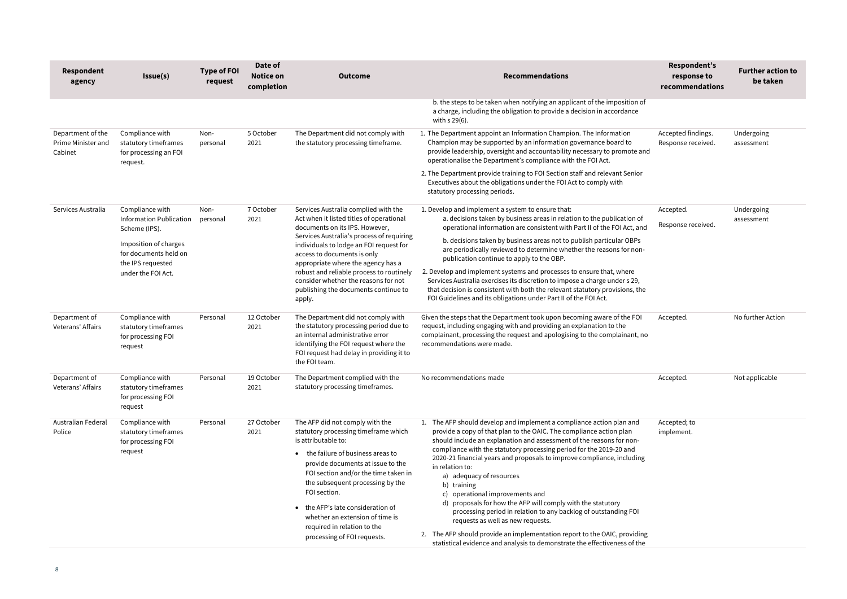| <b>Respondent</b><br>agency                        | Issue(s)                                                                                                                                                        | <b>Type of FOI</b><br>request | Date of<br>Notice on<br>completion | <b>Outcome</b>                                                                                                                                                                                                                                                                                                                                                                                                        | <b>Recommendations</b>                                                                                                                                                                                                                                                                                                                                                                                                                                                                                                                                                                                                                                                                                                                                                                                 | Respondent's<br>response to<br>recommendations | <b>Further action to</b><br>be taken |
|----------------------------------------------------|-----------------------------------------------------------------------------------------------------------------------------------------------------------------|-------------------------------|------------------------------------|-----------------------------------------------------------------------------------------------------------------------------------------------------------------------------------------------------------------------------------------------------------------------------------------------------------------------------------------------------------------------------------------------------------------------|--------------------------------------------------------------------------------------------------------------------------------------------------------------------------------------------------------------------------------------------------------------------------------------------------------------------------------------------------------------------------------------------------------------------------------------------------------------------------------------------------------------------------------------------------------------------------------------------------------------------------------------------------------------------------------------------------------------------------------------------------------------------------------------------------------|------------------------------------------------|--------------------------------------|
|                                                    |                                                                                                                                                                 |                               |                                    |                                                                                                                                                                                                                                                                                                                                                                                                                       | b. the steps to be taken when notifying an applicant of the imposition of<br>a charge, including the obligation to provide a decision in accordance<br>with s 29(6).                                                                                                                                                                                                                                                                                                                                                                                                                                                                                                                                                                                                                                   |                                                |                                      |
| Department of the<br>Prime Minister and<br>Cabinet | Compliance with<br>statutory timeframes<br>for processing an FOI<br>request.                                                                                    | Non-<br>personal              | 5 October<br>2021                  | The Department did not comply with<br>the statutory processing timeframe.                                                                                                                                                                                                                                                                                                                                             | 1. The Department appoint an Information Champion. The Information<br>Champion may be supported by an information governance board to<br>provide leadership, oversight and accountability necessary to promote and<br>operationalise the Department's compliance with the FOI Act.<br>2. The Department provide training to FOI Section staff and relevant Senior<br>Executives about the obligations under the FOI Act to comply with<br>statutory processing periods.                                                                                                                                                                                                                                                                                                                                | Accepted findings.<br>Response received.       | Undergoing<br>assessment             |
| Services Australia                                 | Compliance with<br><b>Information Publication</b><br>Scheme (IPS).<br>Imposition of charges<br>for documents held on<br>the IPS requested<br>under the FOI Act. | Non-<br>personal              | 7 October<br>2021                  | Services Australia complied with the<br>Act when it listed titles of operational<br>documents on its IPS. However,<br>Services Australia's process of requiring<br>individuals to lodge an FOI request for<br>access to documents is only<br>appropriate where the agency has a<br>robust and reliable process to routinely<br>consider whether the reasons for not<br>publishing the documents continue to<br>apply. | 1. Develop and implement a system to ensure that:<br>a. decisions taken by business areas in relation to the publication of<br>operational information are consistent with Part II of the FOI Act, and<br>b. decisions taken by business areas not to publish particular OBPs<br>are periodically reviewed to determine whether the reasons for non-<br>publication continue to apply to the OBP.<br>2. Develop and implement systems and processes to ensure that, where<br>Services Australia exercises its discretion to impose a charge under s 29,<br>that decision is consistent with both the relevant statutory provisions, the<br>FOI Guidelines and its obligations under Part II of the FOI Act.                                                                                            | Accepted.<br>Response received.                | Undergoing<br>assessment             |
| Department of<br>Veterans' Affairs                 | Compliance with<br>statutory timeframes<br>for processing FOI<br>request                                                                                        | Personal                      | 12 October<br>2021                 | The Department did not comply with<br>the statutory processing period due to<br>an internal administrative error<br>identifying the FOI request where the<br>FOI request had delay in providing it to<br>the FOI team.                                                                                                                                                                                                | Given the steps that the Department took upon becoming aware of the FOI<br>request, including engaging with and providing an explanation to the<br>complainant, processing the request and apologising to the complainant, no<br>recommendations were made.                                                                                                                                                                                                                                                                                                                                                                                                                                                                                                                                            | Accepted.                                      | No further Action                    |
| Department of<br>Veterans' Affairs                 | Compliance with<br>statutory timeframes<br>for processing FOI<br>request                                                                                        | Personal                      | 19 October<br>2021                 | The Department complied with the<br>statutory processing timeframes.                                                                                                                                                                                                                                                                                                                                                  | No recommendations made                                                                                                                                                                                                                                                                                                                                                                                                                                                                                                                                                                                                                                                                                                                                                                                | Accepted.                                      | Not applicable                       |
| Australian Federal<br>Police                       | Compliance with<br>statutory timeframes<br>for processing FOI<br>request                                                                                        | Personal                      | 27 October<br>2021                 | The AFP did not comply with the<br>statutory processing timeframe which<br>is attributable to:<br>the failure of business areas to<br>$\bullet$<br>provide documents at issue to the<br>FOI section and/or the time taken in<br>the subsequent processing by the<br>FOI section.<br>the AFP's late consideration of<br>whether an extension of time is<br>required in relation to the<br>processing of FOI requests.  | 1. The AFP should develop and implement a compliance action plan and<br>provide a copy of that plan to the OAIC. The compliance action plan<br>should include an explanation and assessment of the reasons for non-<br>compliance with the statutory processing period for the 2019-20 and<br>2020-21 financial years and proposals to improve compliance, including<br>in relation to:<br>a) adequacy of resources<br>b) training<br>c) operational improvements and<br>d) proposals for how the AFP will comply with the statutory<br>processing period in relation to any backlog of outstanding FOI<br>requests as well as new requests.<br>2. The AFP should provide an implementation report to the OAIC, providing<br>statistical evidence and analysis to demonstrate the effectiveness of the | Accepted; to<br>implement.                     |                                      |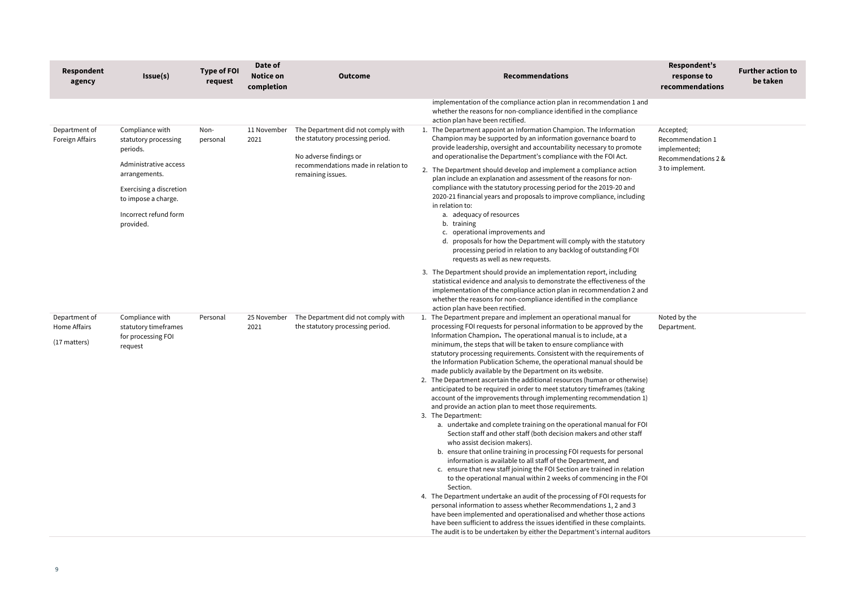| <b>Respondent</b><br>agency                   | Issue(s)                                                                                                                                                                              | <b>Type of FOI</b><br>request | Date of<br><b>Notice on</b><br>completion | <b>Outcome</b>                                                                                                                                               | <b>Recommendations</b>                                                                                                                                                                                                                                                                                                                                                                                                                                                                                                                                                                                                                                                                                                                                                                                                                                                                                                                                                                                                                                                                                                                                                                                                                                                                                                                                                                                                                                                                                                                                                                                                                                                                                                           | Respondent's<br>response to<br>recommendations                                          | <b>Further action to</b><br>be taken |
|-----------------------------------------------|---------------------------------------------------------------------------------------------------------------------------------------------------------------------------------------|-------------------------------|-------------------------------------------|--------------------------------------------------------------------------------------------------------------------------------------------------------------|----------------------------------------------------------------------------------------------------------------------------------------------------------------------------------------------------------------------------------------------------------------------------------------------------------------------------------------------------------------------------------------------------------------------------------------------------------------------------------------------------------------------------------------------------------------------------------------------------------------------------------------------------------------------------------------------------------------------------------------------------------------------------------------------------------------------------------------------------------------------------------------------------------------------------------------------------------------------------------------------------------------------------------------------------------------------------------------------------------------------------------------------------------------------------------------------------------------------------------------------------------------------------------------------------------------------------------------------------------------------------------------------------------------------------------------------------------------------------------------------------------------------------------------------------------------------------------------------------------------------------------------------------------------------------------------------------------------------------------|-----------------------------------------------------------------------------------------|--------------------------------------|
|                                               |                                                                                                                                                                                       |                               |                                           |                                                                                                                                                              | implementation of the compliance action plan in recommendation 1 and<br>whether the reasons for non-compliance identified in the compliance<br>action plan have been rectified.                                                                                                                                                                                                                                                                                                                                                                                                                                                                                                                                                                                                                                                                                                                                                                                                                                                                                                                                                                                                                                                                                                                                                                                                                                                                                                                                                                                                                                                                                                                                                  |                                                                                         |                                      |
| Department of<br>Foreign Affairs              | Compliance with<br>statutory processing<br>periods.<br>Administrative access<br>arrangements.<br>Exercising a discretion<br>to impose a charge.<br>Incorrect refund form<br>provided. | Non-<br>personal              | 11 November<br>2021                       | The Department did not comply with<br>the statutory processing period.<br>No adverse findings or<br>recommendations made in relation to<br>remaining issues. | 1. The Department appoint an Information Champion. The Information<br>Champion may be supported by an information governance board to<br>provide leadership, oversight and accountability necessary to promote<br>and operationalise the Department's compliance with the FOI Act.<br>2. The Department should develop and implement a compliance action<br>plan include an explanation and assessment of the reasons for non-<br>compliance with the statutory processing period for the 2019-20 and<br>2020-21 financial years and proposals to improve compliance, including<br>in relation to:<br>a. adequacy of resources<br>b. training<br>c. operational improvements and<br>d. proposals for how the Department will comply with the statutory<br>processing period in relation to any backlog of outstanding FOI<br>requests as well as new requests.<br>3. The Department should provide an implementation report, including<br>statistical evidence and analysis to demonstrate the effectiveness of the<br>implementation of the compliance action plan in recommendation 2 and<br>whether the reasons for non-compliance identified in the compliance                                                                                                                                                                                                                                                                                                                                                                                                                                                                                                                                                               | Accepted;<br>Recommendation 1<br>implemented;<br>Recommendations 2 &<br>3 to implement. |                                      |
| Department of<br>Home Affairs<br>(17 matters) | Compliance with<br>statutory timeframes<br>for processing FOI<br>request                                                                                                              | Personal                      | 25 November<br>2021                       | The Department did not comply with<br>the statutory processing period.                                                                                       | action plan have been rectified.<br>1. The Department prepare and implement an operational manual for<br>processing FOI requests for personal information to be approved by the<br>Information Champion. The operational manual is to include, at a<br>minimum, the steps that will be taken to ensure compliance with<br>statutory processing requirements. Consistent with the requirements of<br>the Information Publication Scheme, the operational manual should be<br>made publicly available by the Department on its website.<br>2. The Department ascertain the additional resources (human or otherwise)<br>anticipated to be required in order to meet statutory timeframes (taking<br>account of the improvements through implementing recommendation 1)<br>and provide an action plan to meet those requirements.<br>3. The Department:<br>a. undertake and complete training on the operational manual for FOI<br>Section staff and other staff (both decision makers and other staff<br>who assist decision makers).<br>b. ensure that online training in processing FOI requests for personal<br>information is available to all staff of the Department, and<br>c. ensure that new staff joining the FOI Section are trained in relation<br>to the operational manual within 2 weeks of commencing in the FOI<br>Section.<br>4. The Department undertake an audit of the processing of FOI requests for<br>personal information to assess whether Recommendations 1, 2 and 3<br>have been implemented and operationalised and whether those actions<br>have been sufficient to address the issues identified in these complaints.<br>The audit is to be undertaken by either the Department's internal auditors | Noted by the<br>Department.                                                             |                                      |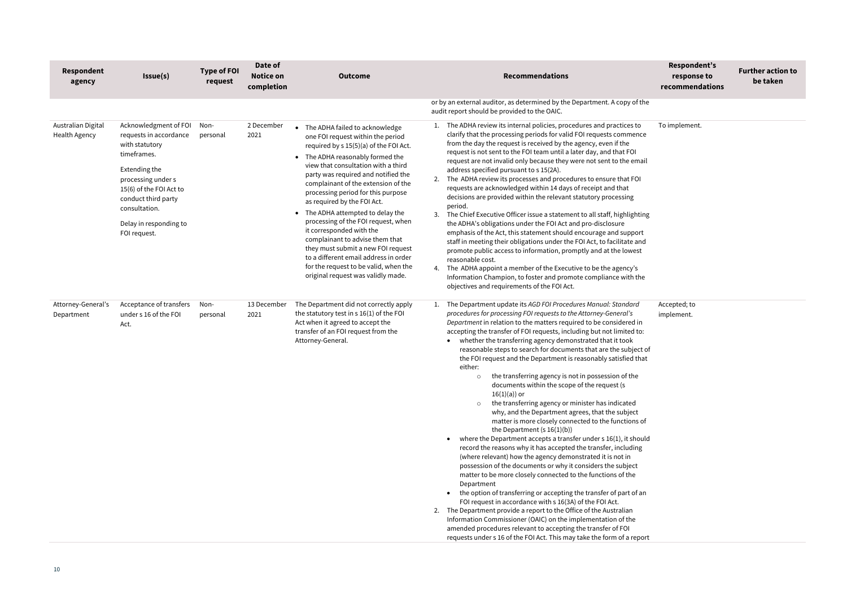| Respondent<br>agency                       | Issue(s)                                                                                                                                                                                                                             | <b>Type of FOI</b><br>request | Date of<br><b>Notice on</b><br>completion | <b>Outcome</b>                                                                                                                                                                                                                                                                                                                                                                                                                                                                                                                                                                                                                                                    | <b>Recommendations</b>                                                                                                                                                                                                                                                                                                                                                                                                                                                                                                                                                                                                                                                                                                                                                                                                                                                                                                                                                                                                                                                                                                                                                                                                                                                                                                                                                                                                                                                                                                                                                                                       |
|--------------------------------------------|--------------------------------------------------------------------------------------------------------------------------------------------------------------------------------------------------------------------------------------|-------------------------------|-------------------------------------------|-------------------------------------------------------------------------------------------------------------------------------------------------------------------------------------------------------------------------------------------------------------------------------------------------------------------------------------------------------------------------------------------------------------------------------------------------------------------------------------------------------------------------------------------------------------------------------------------------------------------------------------------------------------------|--------------------------------------------------------------------------------------------------------------------------------------------------------------------------------------------------------------------------------------------------------------------------------------------------------------------------------------------------------------------------------------------------------------------------------------------------------------------------------------------------------------------------------------------------------------------------------------------------------------------------------------------------------------------------------------------------------------------------------------------------------------------------------------------------------------------------------------------------------------------------------------------------------------------------------------------------------------------------------------------------------------------------------------------------------------------------------------------------------------------------------------------------------------------------------------------------------------------------------------------------------------------------------------------------------------------------------------------------------------------------------------------------------------------------------------------------------------------------------------------------------------------------------------------------------------------------------------------------------------|
|                                            |                                                                                                                                                                                                                                      |                               |                                           |                                                                                                                                                                                                                                                                                                                                                                                                                                                                                                                                                                                                                                                                   | or by an external auditor, as determined by the Department. A copy of the<br>audit report should be provided to the OAIC.                                                                                                                                                                                                                                                                                                                                                                                                                                                                                                                                                                                                                                                                                                                                                                                                                                                                                                                                                                                                                                                                                                                                                                                                                                                                                                                                                                                                                                                                                    |
| Australian Digital<br><b>Health Agency</b> | Acknowledgment of FOI<br>requests in accordance<br>with statutory<br>timeframes.<br>Extending the<br>processing under s<br>15(6) of the FOI Act to<br>conduct third party<br>consultation.<br>Delay in responding to<br>FOI request. | Non-<br>personal              | 2 December<br>2021                        | • The ADHA failed to acknowledge<br>one FOI request within the period<br>required by s 15(5)(a) of the FOI Act.<br>The ADHA reasonably formed the<br>$\bullet$<br>view that consultation with a third<br>party was required and notified the<br>complainant of the extension of the<br>processing period for this purpose<br>as required by the FOI Act.<br>• The ADHA attempted to delay the<br>processing of the FOI request, when<br>it corresponded with the<br>complainant to advise them that<br>they must submit a new FOI request<br>to a different email address in order<br>for the request to be valid, when the<br>original request was validly made. | 1. The ADHA review its internal policies, procedures and practices to<br>clarify that the processing periods for valid FOI requests commence<br>from the day the request is received by the agency, even if the<br>request is not sent to the FOI team until a later day, and that FOI<br>request are not invalid only because they were not sent to the email<br>address specified pursuant to s 15(2A).<br>The ADHA review its processes and procedures to ensure that FOI<br>2.<br>requests are acknowledged within 14 days of receipt and that<br>decisions are provided within the relevant statutory processing<br>period.<br>The Chief Executive Officer issue a statement to all staff, highlighting<br>3.<br>the ADHA's obligations under the FOI Act and pro-disclosure<br>emphasis of the Act, this statement should encourage and support<br>staff in meeting their obligations under the FOI Act, to facilitate and<br>promote public access to information, promptly and at the lowest<br>reasonable cost.<br>The ADHA appoint a member of the Executive to be the agency's<br>4.<br>Information Champion, to foster and promote compliance with the<br>objectives and requirements of the FOI Act.                                                                                                                                                                                                                                                                                                                                                                                            |
| Attorney-General's<br>Department           | Acceptance of transfers<br>under s 16 of the FOI<br>Act.                                                                                                                                                                             | Non-<br>personal              | 13 December<br>2021                       | The Department did not correctly apply<br>the statutory test in s 16(1) of the FOI<br>Act when it agreed to accept the<br>transfer of an FOI request from the<br>Attorney-General.                                                                                                                                                                                                                                                                                                                                                                                                                                                                                | The Department update its AGD FOI Procedures Manual: Standard<br>1.<br>procedures for processing FOI requests to the Attorney-General's<br>Department in relation to the matters required to be considered in<br>accepting the transfer of FOI requests, including but not limited to:<br>whether the transferring agency demonstrated that it took<br>reasonable steps to search for documents that are the subject of<br>the FOI request and the Department is reasonably satisfied that<br>either:<br>the transferring agency is not in possession of the<br>documents within the scope of the request (s<br>$16(1)(a)$ ) or<br>the transferring agency or minister has indicated<br>$\circ$<br>why, and the Department agrees, that the subject<br>matter is more closely connected to the functions of<br>the Department $(s 16(1)(b))$<br>where the Department accepts a transfer under s 16(1), it should<br>record the reasons why it has accepted the transfer, including<br>(where relevant) how the agency demonstrated it is not in<br>possession of the documents or why it considers the subject<br>matter to be more closely connected to the functions of the<br>Department<br>the option of transferring or accepting the transfer of part of an<br>FOI request in accordance with s 16(3A) of the FOI Act.<br>2. The Department provide a report to the Office of the Australian<br>Information Commissioner (OAIC) on the implementation of the<br>amended procedures relevant to accepting the transfer of FOI<br>requests under s 16 of the FOI Act. This may take the form of a report |

|                                             | Respondent's<br>response to<br>recommendations | <b>Further action to</b><br>be taken |
|---------------------------------------------|------------------------------------------------|--------------------------------------|
| the                                         |                                                |                                      |
| $\mathbf{C}$<br>ce                          | To implement.                                  |                                      |
| ail                                         |                                                |                                      |
| ľ                                           |                                                |                                      |
| ing:                                        |                                                |                                      |
| rt<br>٦d<br>t                               |                                                |                                      |
| ١e                                          |                                                |                                      |
| n<br>$\overline{\mathbf{c}}$<br>t of<br>າat | Accepted; to<br>implement.                     |                                      |
|                                             |                                                |                                      |
| of                                          |                                                |                                      |
| uld<br>g                                    |                                                |                                      |
| an                                          |                                                |                                      |